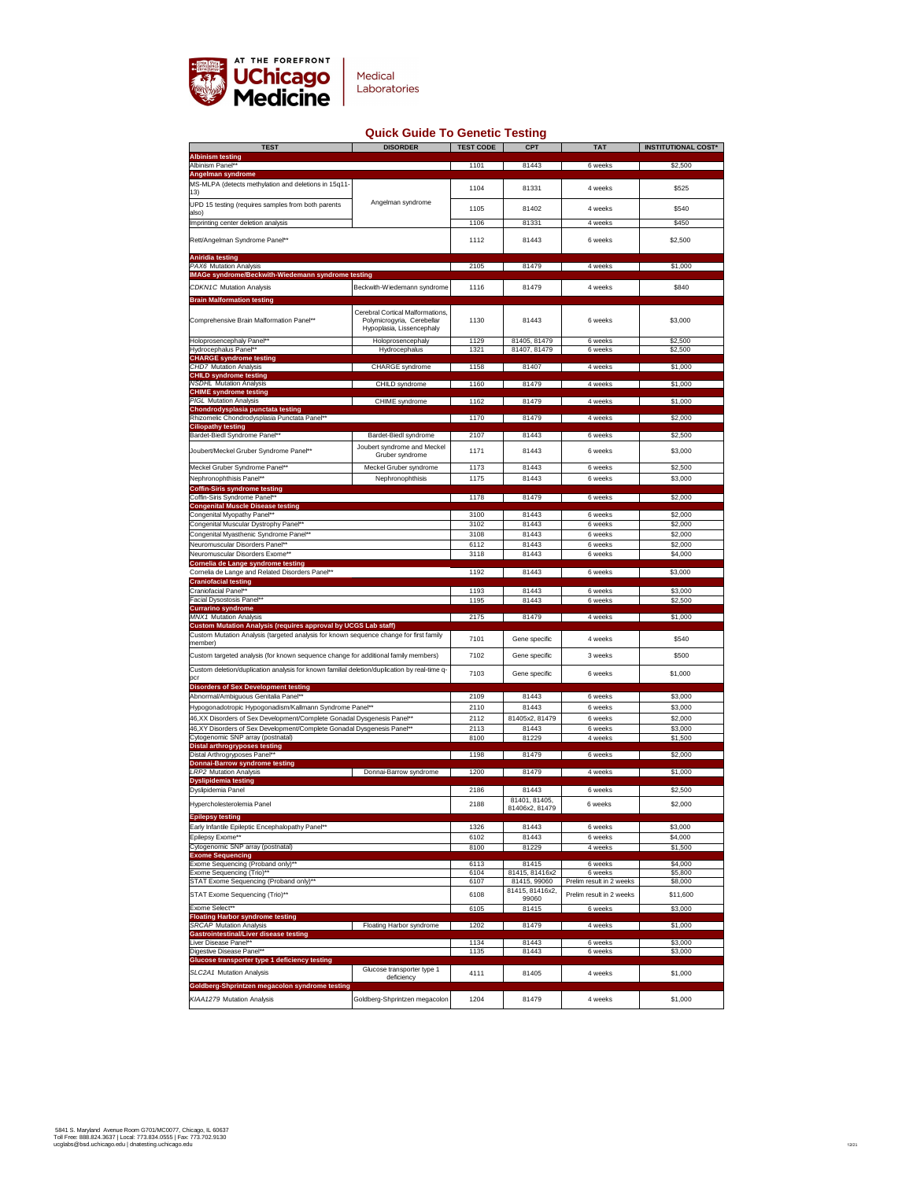

| <b>TEST</b>                                                                                                                                        | <b>DISORDER</b>                                                                                    | <b>TEST CODE</b> | <b>CPT</b>                      | <b>TAT</b>               | <b>INSTITUTIONAL COST*</b> |
|----------------------------------------------------------------------------------------------------------------------------------------------------|----------------------------------------------------------------------------------------------------|------------------|---------------------------------|--------------------------|----------------------------|
| <b>Albinism testing</b><br><b>Albinism Panel**</b>                                                                                                 |                                                                                                    | 1101             | 81443                           | 6 weeks                  | \$2,500                    |
| <b>Angelman syndrome</b>                                                                                                                           |                                                                                                    |                  |                                 |                          |                            |
| MS-MLPA (detects methylation and deletions in 15q11-<br>13)                                                                                        |                                                                                                    | 1104             | 81331                           | 4 weeks                  | \$525                      |
| UPD 15 testing (requires samples from both parents                                                                                                 | Angelman syndrome                                                                                  |                  |                                 |                          |                            |
| also)                                                                                                                                              |                                                                                                    | 1105             | 81402                           | 4 weeks                  | \$540                      |
| Imprinting center deletion analysis                                                                                                                |                                                                                                    | 1106             | 81331                           | 4 weeks                  | \$450                      |
| Rett/Angelman Syndrome Panel**                                                                                                                     |                                                                                                    | 1112             | 81443                           | 6 weeks                  | \$2,500                    |
| <b>Aniridia testing</b>                                                                                                                            |                                                                                                    |                  |                                 |                          |                            |
| <b>PAX6 Mutation Analysis</b>                                                                                                                      |                                                                                                    | 2105             | 81479                           | 4 weeks                  | \$1,000                    |
| <b>IMAGe syndrome/Beckwith-Wiedemann syndrome testing</b>                                                                                          |                                                                                                    |                  |                                 |                          |                            |
| <b>CDKN1C Mutation Analysis</b>                                                                                                                    | Beckwith-Wiedemann syndrome                                                                        | 1116             | 81479                           | 4 weeks                  | \$840                      |
| <b>Brain Malformation testing</b>                                                                                                                  |                                                                                                    |                  |                                 |                          |                            |
| <b>Comprehensive Brain Malformation Panel**</b>                                                                                                    | <b>Cerebral Cortical Malformations,</b><br>Polymicrogyria, Cerebellar<br>Hypoplasia, Lissencephaly | 1130             | 81443                           | 6 weeks                  | \$3,000                    |
| Holoprosencephaly Panel**                                                                                                                          | Holoprosencephaly                                                                                  | 1129             | 81405, 81479                    | 6 weeks                  | \$2,500                    |
| Hydrocephalus Panel**                                                                                                                              | <b>Hydrocephalus</b>                                                                               | 1321             | 81407, 81479                    | 6 weeks                  | \$2,500                    |
| <b>CHARGE syndrome testing</b><br><b>CHD7 Mutation Analysis</b>                                                                                    | <b>CHARGE syndrome</b>                                                                             | 1158             | 81407                           | 4 weeks                  | \$1,000                    |
| <b>CHILD syndrome testing</b>                                                                                                                      |                                                                                                    |                  |                                 |                          |                            |
| <b>NSDHL Mutation Analysis</b>                                                                                                                     | <b>CHILD syndrome</b>                                                                              | 1160             | 81479                           | 4 weeks                  | \$1,000                    |
| <b>CHIME syndrome testing</b><br><b>PIGL Mutation Analysis</b>                                                                                     | <b>CHIME</b> syndrome                                                                              | 1162             | 81479                           | 4 weeks                  | \$1,000                    |
| Chondrodysplasia punctata testing                                                                                                                  |                                                                                                    |                  |                                 |                          |                            |
| Rhizomelic Chondrodysplasia Punctata Panel**<br><b>Ciliopathy testing</b>                                                                          |                                                                                                    | 1170             | 81479                           | 4 weeks                  | \$2,000                    |
| <b>Bardet-Biedl Syndrome Panel**</b>                                                                                                               | <b>Bardet-Biedl syndrome</b>                                                                       | 2107             | 81443                           | 6 weeks                  | \$2,500                    |
| Joubert/Meckel Gruber Syndrome Panel**                                                                                                             | Joubert syndrome and Meckel                                                                        | 1171             | 81443                           | 6 weeks                  | \$3,000                    |
|                                                                                                                                                    | Gruber syndrome                                                                                    |                  |                                 |                          |                            |
| Meckel Gruber Syndrome Panel**<br>Nephronophthisis Panel**                                                                                         | <b>Meckel Gruber syndrome</b><br>Nephronophthisis                                                  | 1173<br>1175     | 81443<br>81443                  | 6 weeks<br>6 weeks       | \$2,500<br>\$3,000         |
| <b>Coffin-Siris syndrome testing</b>                                                                                                               |                                                                                                    |                  |                                 |                          |                            |
| Coffin-Siris Syndrome Panel**                                                                                                                      |                                                                                                    | 1178             | 81479                           | 6 weeks                  | \$2,000                    |
| <b>Congenital Muscle Disease testing</b><br><b>Congenital Myopathy Panel**</b>                                                                     |                                                                                                    | 3100             | 81443                           | 6 weeks                  | \$2,000                    |
| <b>Congenital Muscular Dystrophy Panel**</b>                                                                                                       |                                                                                                    | 3102             | 81443                           | 6 weeks                  | \$2,000                    |
| Congenital Myasthenic Syndrome Panel**                                                                                                             |                                                                                                    | 3108             | 81443                           | 6 weeks                  | \$2,000                    |
| Neuromuscular Disorders Panel**                                                                                                                    |                                                                                                    | 6112             | 81443                           | 6 weeks                  | \$2,000                    |
| Neuromuscular Disorders Exome**<br>Cornelia de Lange syndrome testing                                                                              |                                                                                                    | 3118             | 81443                           | 6 weeks                  | \$4,000                    |
| Cornelia de Lange and Related Disorders Panel**                                                                                                    |                                                                                                    | 1192             | 81443                           | 6 weeks                  | \$3,000                    |
| <b>Craniofacial testing</b>                                                                                                                        |                                                                                                    |                  |                                 |                          |                            |
| <b>Craniofacial Panel**</b><br><b>Facial Dysostosis Panel**</b>                                                                                    |                                                                                                    | 1193<br>1195     | 81443<br>81443                  | 6 weeks<br>6 weeks       | \$3,000<br>\$2,500         |
| <b>Currarino syndrome</b>                                                                                                                          |                                                                                                    |                  |                                 |                          |                            |
| <b>MNX1 Mutation Analysis</b><br><b>Custom Mutation Analysis (requires approval by UCGS Lab staff)</b>                                             |                                                                                                    | 2175             | 81479                           | 4 weeks                  | \$1,000                    |
| Custom Mutation Analysis (targeted analysis for known sequence change for first family                                                             |                                                                                                    | 7101             | Gene specific                   | 4 weeks                  | \$540                      |
| member)                                                                                                                                            |                                                                                                    |                  |                                 |                          |                            |
| Custom targeted analysis (for known sequence change for additional family members)                                                                 |                                                                                                    | 7102             | Gene specific                   | 3 weeks                  | \$500                      |
| Custom deletion/duplication analysis for known familial deletion/duplication by real-time q-<br> pcr                                               |                                                                                                    | 7103             | Gene specific                   | 6 weeks                  | \$1,000                    |
| <b>Disorders of Sex Development testing</b>                                                                                                        |                                                                                                    |                  |                                 |                          |                            |
| Abnormal/Ambiguous Genitalia Panel**                                                                                                               |                                                                                                    | 2109             | 81443                           | 6 weeks                  | \$3,000                    |
| Hypogonadotropic Hypogonadism/Kallmann Syndrome Panel**                                                                                            |                                                                                                    | 2110             | 81443                           | 6 weeks                  | \$3,000                    |
| 46, XX Disorders of Sex Development/Complete Gonadal Dysgenesis Panel**<br>46, XY Disorders of Sex Development/Complete Gonadal Dysgenesis Panel** |                                                                                                    | 2112<br>2113     | 81405x2, 81479<br>81443         | 6 weeks<br>6 weeks       | \$2,000<br>\$3,000         |
| Cytogenomic SNP array (postnatal)                                                                                                                  |                                                                                                    | 8100             | 81229                           | 4 weeks                  | \$1,500                    |
| <b>Distal arthrogryposes testing</b>                                                                                                               |                                                                                                    |                  |                                 |                          |                            |
| Distal Arthrogryposes Panel**<br><b>Donnai-Barrow syndrome testing</b>                                                                             |                                                                                                    | 1198             | 81479                           | 6 weeks                  | \$2,000                    |
| <b>LRP2 Mutation Analysis</b>                                                                                                                      | Donnai-Barrow syndrome                                                                             | 1200             | 81479                           | 4 weeks                  | \$1,000                    |
| <b>Dyslipidemia testing</b><br>Dyslipidemia Panel                                                                                                  |                                                                                                    | 2186             | 81443                           | 6 weeks                  | \$2,500                    |
|                                                                                                                                                    |                                                                                                    |                  | 81401, 81405,                   |                          |                            |
| Hypercholesterolemia Panel                                                                                                                         |                                                                                                    | 2188             | 81406x2, 81479                  | 6 weeks                  | \$2,000                    |
| <b>Epilepsy testing</b><br>Early Infantile Epileptic Encephalopathy Panel**                                                                        |                                                                                                    | 1326             | 81443                           | 6 weeks                  | \$3,000                    |
| <b>Epilepsy Exome**</b>                                                                                                                            |                                                                                                    | 6102             | 81443                           | 6 weeks                  | \$4,000                    |
| Cytogenomic SNP array (postnatal)                                                                                                                  |                                                                                                    | 8100             | 81229                           | 4 weeks                  | \$1,500                    |
| <b>Exome Sequencing</b><br>Exome Sequencing (Proband only)**                                                                                       |                                                                                                    | 6113             | 81415                           | 6 weeks                  | \$4,000                    |
| <b>Exome Sequencing (Trio)**</b>                                                                                                                   |                                                                                                    | 6104             | 81415, 81416x2                  | 6 weeks                  | \$5,800                    |
| STAT Exome Sequencing (Proband only)**                                                                                                             |                                                                                                    | 6107             | 81415, 99060<br>81415, 81416x2, | Prelim result in 2 weeks | \$8,000                    |
| <b>STAT Exome Sequencing (Trio)**</b>                                                                                                              |                                                                                                    | 6108             | 99060                           | Prelim result in 2 weeks | \$11,600                   |
| Exome Select**<br><b>Floating Harbor syndrome testing</b>                                                                                          |                                                                                                    | 6105             | 81415                           | 6 weeks                  | \$3,000                    |
| <b>SRCAP Mutation Analysis</b>                                                                                                                     | <b>Floating Harbor syndrome</b>                                                                    | 1202             | 81479                           | 4 weeks                  | \$1,000                    |
| <b>Gastrointestinal/Liver disease testing</b><br>Liver Disease Panel**                                                                             |                                                                                                    |                  |                                 |                          |                            |
| Digestive Disease Panel**                                                                                                                          |                                                                                                    | 1134<br>1135     | 81443<br>81443                  | 6 weeks<br>6 weeks       | \$3,000<br>\$3,000         |
| <b>Glucose transporter type 1 deficiency testing</b>                                                                                               |                                                                                                    |                  |                                 |                          |                            |
| <b>SLC2A1 Mutation Analysis</b>                                                                                                                    | Glucose transporter type 1<br>deficiency                                                           | 4111             | 81405                           | 4 weeks                  | \$1,000                    |
| Goldberg-Shprintzen megacolon syndrome testing                                                                                                     |                                                                                                    |                  |                                 |                          |                            |
| <b>KIAA1279 Mutation Analysis</b>                                                                                                                  | Goldberg-Shprintzen megacolon                                                                      | 1204             | 81479                           | 4 weeks                  | \$1,000                    |

## **Quick Guide To Genetic Testing**

5841 S. Maryland Avenue Room G701/MC0077, Chicago, IL 60637 Toll Free: 888.824.3637 | Local: 773.834.0555 | Fax: 773.702.9130 ucglabs@bsd.uchicago.edu | dnatesting.uchicago.edu <sup>12</sup>/21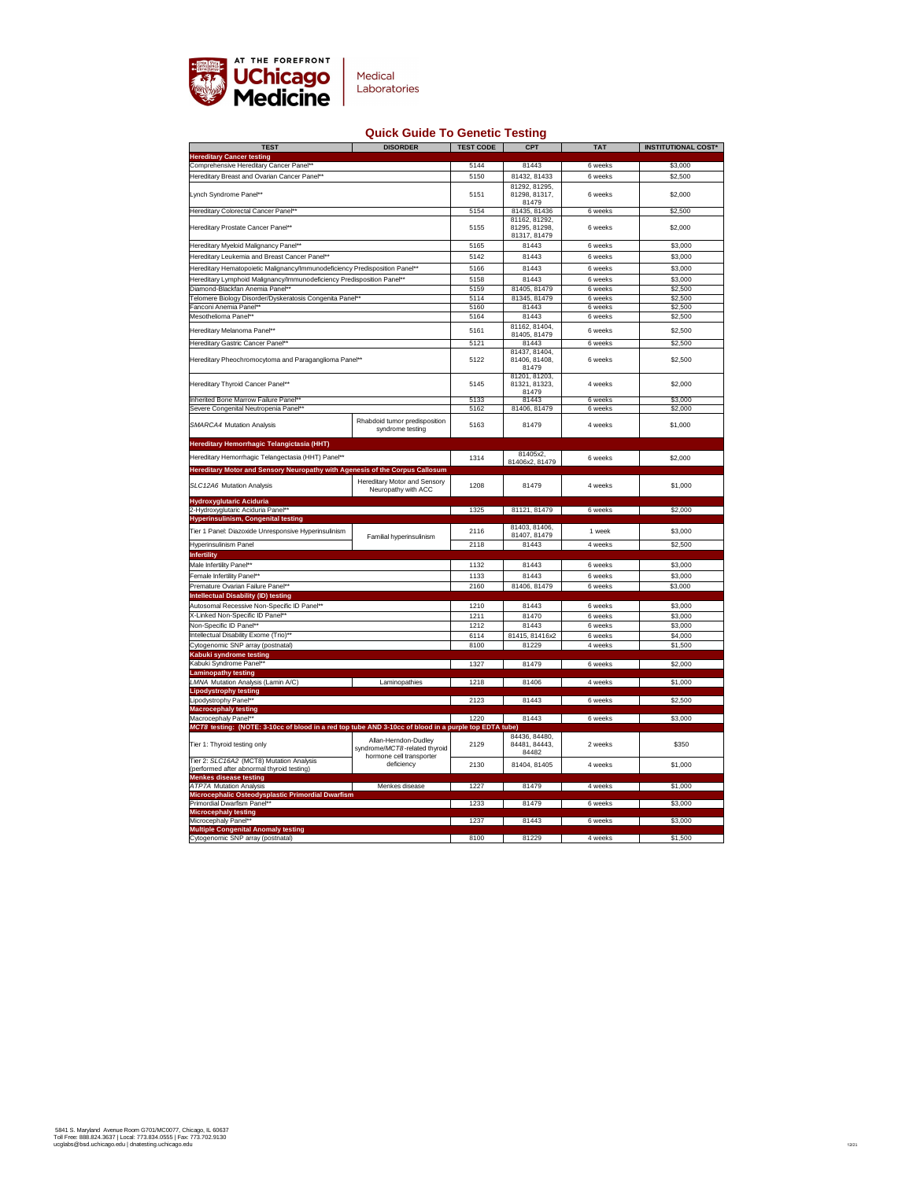

## **Quick Guide To Genetic Testing**

| <b>TEST</b>                                                                                           | <b>DISORDER</b>                                                | <b>TEST CODE</b> | <b>CPT</b>                              | <b>TAT</b> | <b>INSTITUTIONAL COST*</b> |
|-------------------------------------------------------------------------------------------------------|----------------------------------------------------------------|------------------|-----------------------------------------|------------|----------------------------|
| <b>Hereditary Cancer testing</b>                                                                      |                                                                |                  |                                         |            |                            |
| Comprehensive Hereditary Cancer Panel**                                                               |                                                                | 5144             | 81443                                   | 6 weeks    | \$3,000                    |
| Hereditary Breast and Ovarian Cancer Panel**                                                          |                                                                | 5150             | 81432, 81433                            | 6 weeks    | \$2,500                    |
| Lynch Syndrome Panel**                                                                                |                                                                | 5151             | 81292, 81295,<br>81298, 81317,<br>81479 | 6 weeks    | \$2,000                    |
| <b>Hereditary Colorectal Cancer Panel**</b>                                                           |                                                                | 5154             | 81435, 81436<br>81162, 81292,           | 6 weeks    | \$2,500                    |
| Hereditary Prostate Cancer Panel**                                                                    |                                                                | 5155             | 81295, 81298,<br>81317, 81479           | 6 weeks    | \$2,000                    |
| <b>Hereditary Myeloid Malignancy Panel**</b>                                                          |                                                                | 5165             | 81443                                   | 6 weeks    | \$3,000                    |
| Hereditary Leukemia and Breast Cancer Panel**                                                         |                                                                | 5142             | 81443                                   | 6 weeks    | \$3,000                    |
| Hereditary Hematopoietic Malignancy/Immunodeficiency Predisposition Panel**                           |                                                                | 5166             | 81443                                   | 6 weeks    | \$3,000                    |
| Hereditary Lymphoid Malignancy/Immunodeficiency Predisposition Panel**                                |                                                                | 5158             | 81443                                   | 6 weeks    | \$3,000                    |
| Diamond-Blackfan Anemia Panel**                                                                       |                                                                | 5159             | 81405, 81479                            | 6 weeks    | \$2,500                    |
| Telomere Biology Disorder/Dyskeratosis Congenita Panel**                                              |                                                                | 5114             | 81345, 81479                            | 6 weeks    | \$2,500                    |
| <b>Fanconi Anemia Panel**</b>                                                                         |                                                                | 5160             | 81443                                   | 6 weeks    | \$2,500                    |
| Mesothelioma Panel**                                                                                  |                                                                | 5164             | 81443                                   | 6 weeks    | \$2,500                    |
| Hereditary Melanoma Panel**                                                                           |                                                                | 5161             | 81162, 81404,                           | 6 weeks    | \$2,500                    |
| Hereditary Gastric Cancer Panel**                                                                     |                                                                | 5121             | 81405, 81479<br>81443                   | 6 weeks    | \$2,500                    |
|                                                                                                       |                                                                |                  | 81437, 81404,                           |            |                            |
| Hereditary Pheochromocytoma and Paraganglioma Panel**                                                 |                                                                | 5122             | 81406, 81408,<br>81479                  | 6 weeks    | \$2,500                    |
|                                                                                                       |                                                                |                  | 81201, 81203,                           |            |                            |
| <b>Hereditary Thyroid Cancer Panel**</b>                                                              |                                                                | 5145             | 81321, 81323,<br>81479                  | 4 weeks    | \$2,000                    |
| Inherited Bone Marrow Failure Panel**                                                                 |                                                                | 5133             | 81443                                   | 6 weeks    | \$3,000                    |
| Severe Congenital Neutropenia Panel**                                                                 |                                                                | 5162             | 81406, 81479                            | 6 weeks    | \$2,000                    |
| <b>SMARCA4 Mutation Analysis</b>                                                                      | Rhabdoid tumor predisposition<br>syndrome testing              | 5163             | 81479                                   | 4 weeks    | \$1,000                    |
| <b>Hereditary Hemorrhagic Telangictasia (HHT)</b>                                                     |                                                                |                  |                                         |            |                            |
| Hereditary Hemorrhagic Telangectasia (HHT) Panel**                                                    |                                                                | 1314             | 81405x2,                                | 6 weeks    | \$2,000                    |
| <b>Hereditary Motor and Sensory Neuropathy with Agenesis of the Corpus Callosum</b>                   |                                                                |                  | 81406x2, 81479                          |            |                            |
|                                                                                                       | <b>Hereditary Motor and Sensory</b>                            |                  |                                         |            |                            |
| <b>SLC12A6 Mutation Analysis</b>                                                                      | Neuropathy with ACC                                            | 1208             | 81479                                   | 4 weeks    | \$1,000                    |
| Hydroxyglutaric Aciduria                                                                              |                                                                |                  |                                         |            |                            |
| 2-Hydroxyglutaric Aciduria Panel**                                                                    |                                                                | 1325             | 81121, 81479                            | 6 weeks    | \$2,000                    |
| <b>Hyperinsulinism, Congenital testing</b>                                                            |                                                                |                  |                                         |            |                            |
| Tier 1 Panel: Diazoxide Unresponsive Hyperinsulinism                                                  |                                                                | 2116             | 81403, 81406,<br>81407, 81479           | 1 week     | \$3,000                    |
| <b>Hyperinsulinism Panel</b>                                                                          | <b>Familial hyperinsulinism</b>                                | 2118             | 81443                                   | 4 weeks    | \$2,500                    |
| Infertility                                                                                           |                                                                |                  |                                         |            |                            |
| Male Infertility Panel**                                                                              |                                                                | 1132             | 81443                                   | 6 weeks    | \$3,000                    |
| <b>Female Infertility Panel**</b>                                                                     |                                                                | 1133             | 81443                                   | 6 weeks    | \$3,000                    |
| Premature Ovarian Failure Panel**                                                                     |                                                                | 2160             | 81406, 81479                            | 6 weeks    | \$3,000                    |
| <b>Intellectual Disability (ID) testing</b>                                                           |                                                                |                  |                                         |            |                            |
| Autosomal Recessive Non-Specific ID Panel**                                                           |                                                                | 1210             | 81443                                   | 6 weeks    | \$3,000                    |
| X-Linked Non-Specific ID Panel**                                                                      |                                                                | 1211             | 81470                                   | 6 weeks    | \$3,000                    |
| Non-Specific ID Panel**                                                                               |                                                                | 1212             | 81443                                   | 6 weeks    | \$3,000                    |
| Intellectual Disability Exome (Trio)**                                                                |                                                                | 6114             | 81415, 81416x2                          | 6 weeks    | \$4,000                    |
| Cytogenomic SNP array (postnatal)                                                                     |                                                                | 8100             | 81229                                   | 4 weeks    | \$1,500                    |
| Kabuki syndrome testing                                                                               |                                                                |                  |                                         |            |                            |
| Kabuki Syndrome Panel**                                                                               |                                                                | 1327             | 81479                                   | 6 weeks    | \$2,000                    |
| <b>Laminopathy testing</b><br><b>LMNA Mutation Analysis (Lamin A/C)</b>                               | <b>Laminopathies</b>                                           | 1218             | 81406                                   | 4 weeks    | \$1,000                    |
| <b>Lipodystrophy testing</b>                                                                          |                                                                |                  |                                         |            |                            |
| Lipodystrophy Panel**                                                                                 |                                                                | 2123             | 81443                                   | 6 weeks    | \$2,500                    |
| <b>Macrocephaly testing</b>                                                                           |                                                                |                  |                                         |            |                            |
| Macrocephaly Panel**                                                                                  |                                                                | 1220             | 81443                                   | 6 weeks    | \$3,000                    |
| MCT8 testing: (NOTE: 3-10cc of blood in a red top tube AND 3-10cc of blood in a purple top EDTA tube) |                                                                |                  |                                         |            |                            |
| Tier 1: Thyroid testing only                                                                          | Allan-Herndon-Dudley<br>syndrome/ <i>MCT8</i> -related thyroid | 2129             | 84436, 84480,<br>84481, 84443,<br>84482 | 2 weeks    | \$350                      |
| Tier 2: SLC16A2 (MCT8) Mutation Analysis<br>(performed after abnormal thyroid testing)                | hormone cell transporter<br>deficiency                         | 2130             | 81404, 81405                            | 4 weeks    | \$1,000                    |
| <b>Menkes disease testing</b>                                                                         |                                                                |                  |                                         |            |                            |
| <b>ATP7A Mutation Analysis</b><br>Menkes disease                                                      |                                                                | 1227             | 81479                                   | 4 weeks    | \$1,000                    |
| Microcephalic Osteodysplastic Primordial Dwarfism                                                     |                                                                |                  |                                         |            |                            |
| <b>Primordial Dwarfism Panel**</b>                                                                    |                                                                | 1233             | 81479                                   | 6 weeks    | \$3,000                    |
| <b>Microcephaly testing</b><br>Microcephaly Panel**                                                   |                                                                | 1237             | 81443                                   | 6 weeks    | \$3,000                    |
| <b>Multiple Congenital Anomaly testing</b>                                                            |                                                                |                  |                                         |            |                            |
| Cytogenomic SNP array (postnatal)                                                                     |                                                                | 8100             | 81229                                   | 4 weeks    | \$1,500                    |

5841 S. Maryland Avenue Room G701/MC0077, Chicago, IL 60637 Toll Free: 888.824.3637 | Local: 773.834.0555 | Fax: 773.702.9130 ucglabs@bsd.uchicago.edu | dnatesting.uchicago.edu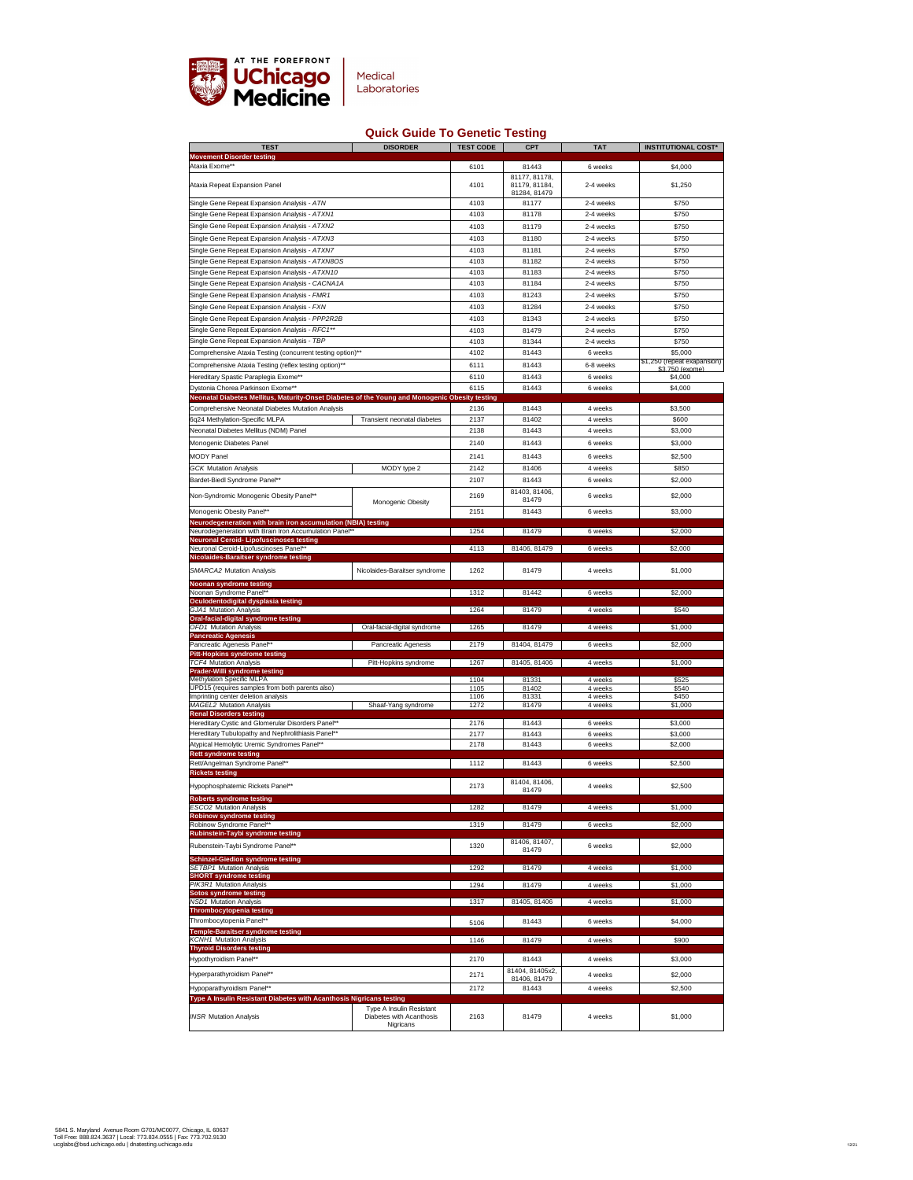

## **Quick Guide To Genetic Testing**

| <b>TEST</b>                                                                                                                         | <b>DISORDER</b>                                                                 | <b>TEST CODE</b> | <b>CPT</b>                     | <b>TAT</b>         | <b>INSTITUTIONAL COST*</b>             |
|-------------------------------------------------------------------------------------------------------------------------------------|---------------------------------------------------------------------------------|------------------|--------------------------------|--------------------|----------------------------------------|
| <b>Movement Disorder testing</b><br>Ataxia Exome**                                                                                  |                                                                                 | 6101             | 81443                          | 6 weeks            | \$4,000                                |
| <b>Ataxia Repeat Expansion Panel</b>                                                                                                |                                                                                 | 4101             | 81177, 81178,<br>81179, 81184, | 2-4 weeks          | \$1,250                                |
| Single Gene Repeat Expansion Analysis - ATN                                                                                         |                                                                                 | 4103             | 81284, 81479<br>81177          | 2-4 weeks          | \$750                                  |
| Single Gene Repeat Expansion Analysis - ATXN1                                                                                       |                                                                                 | 4103             | 81178                          | 2-4 weeks          | \$750                                  |
| Single Gene Repeat Expansion Analysis - ATXN2                                                                                       |                                                                                 | 4103             | 81179                          | 2-4 weeks          | \$750                                  |
| Single Gene Repeat Expansion Analysis - ATXN3                                                                                       |                                                                                 | 4103             | 81180                          | 2-4 weeks          | \$750                                  |
| Single Gene Repeat Expansion Analysis - ATXN7                                                                                       |                                                                                 | 4103             | 81181                          | 2-4 weeks          | \$750                                  |
| Single Gene Repeat Expansion Analysis - ATXN8OS                                                                                     |                                                                                 | 4103             | 81182                          | 2-4 weeks          | \$750                                  |
| Single Gene Repeat Expansion Analysis - ATXN10                                                                                      |                                                                                 | 4103             | 81183                          | 2-4 weeks          | \$750                                  |
| Single Gene Repeat Expansion Analysis - CACNA1A                                                                                     |                                                                                 | 4103             | 81184                          | 2-4 weeks          | \$750                                  |
| Single Gene Repeat Expansion Analysis - FMR1                                                                                        |                                                                                 | 4103             | 81243                          | 2-4 weeks          | \$750                                  |
| Single Gene Repeat Expansion Analysis - FXN                                                                                         |                                                                                 | 4103             | 81284                          | 2-4 weeks          | \$750                                  |
| Single Gene Repeat Expansion Analysis - PPP2R2B                                                                                     |                                                                                 | 4103             | 81343                          | 2-4 weeks          | \$750                                  |
| Single Gene Repeat Expansion Analysis - RFC1**                                                                                      |                                                                                 | 4103             | 81479                          | 2-4 weeks          | \$750                                  |
| Single Gene Repeat Expansion Analysis - TBP                                                                                         |                                                                                 | 4103             | 81344                          | 2-4 weeks          | \$750                                  |
| Comprehensive Ataxia Testing (concurrent testing option)**                                                                          |                                                                                 | 4102             | 81443                          | 6 weeks            | \$5,000<br>\$1,250 (repeat exapansion) |
| Comprehensive Ataxia Testing (reflex testing option)**                                                                              |                                                                                 | 6111             | 81443                          | 6-8 weeks          | \$3.750 (exome)                        |
| Hereditary Spastic Paraplegia Exome**                                                                                               |                                                                                 | 6110             | 81443                          | 6 weeks            | \$4,000                                |
| Dystonia Chorea Parkinson Exome**<br>Neonatal Diabetes Mellitus, Maturity-Onset Diabetes of the Young and Monogenic Obesity testing |                                                                                 | 6115             | 81443                          | 6 weeks            | \$4,000                                |
| <b>Comprehensive Neonatal Diabetes Mutation Analysis</b>                                                                            |                                                                                 | 2136             | 81443                          | 4 weeks            | \$3,500                                |
| 6q24 Methylation-Specific MLPA                                                                                                      | <b>Transient neonatal diabetes</b>                                              | 2137             | 81402                          | 4 weeks            | \$600                                  |
| <b>Neonatal Diabetes Mellitus (NDM) Panel</b>                                                                                       |                                                                                 | 2138             | 81443                          | 4 weeks            | \$3,000                                |
| <b>Monogenic Diabetes Panel</b>                                                                                                     |                                                                                 | 2140             | 81443                          | 6 weeks            | \$3,000                                |
| <b>MODY Panel</b>                                                                                                                   |                                                                                 | 2141             | 81443                          | 6 weeks            | \$2,500                                |
| <b>GCK Mutation Analysis</b>                                                                                                        | MODY type 2                                                                     | 2142             | 81406                          | 4 weeks            | \$850                                  |
| <b>Bardet-Biedl Syndrome Panel**</b>                                                                                                |                                                                                 | 2107             | 81443                          | 6 weeks            | \$2,000                                |
| Non-Syndromic Monogenic Obesity Panel**                                                                                             |                                                                                 | 2169             | 81403, 81406,                  | 6 weeks            | \$2,000                                |
|                                                                                                                                     | <b>Monogenic Obesity</b>                                                        |                  | 81479                          |                    |                                        |
| Monogenic Obesity Panel**                                                                                                           |                                                                                 | 2151             | 81443                          | 6 weeks            | \$3,000                                |
| <b>Neurodegeneration with brain iron accumulation (NBIA) testing</b><br>Neurodegeneration with Brain Iron Accumulation Panel**      |                                                                                 | 1254             | 81479                          | 6 weeks            | \$2,000                                |
| <b>Neuronal Ceroid- Lipofuscinoses testing</b>                                                                                      |                                                                                 |                  |                                |                    |                                        |
| <b>Neuronal Ceroid-Lipofuscinoses Panel**</b><br>Nicolaides-Baraitser syndrome testing                                              |                                                                                 | 4113             | 81406, 81479                   | 6 weeks            | \$2,000                                |
| <b>SMARCA2 Mutation Analysis</b>                                                                                                    | Nicolaides-Baraitser syndrome                                                   | 1262             | 81479                          | 4 weeks            | \$1,000                                |
|                                                                                                                                     |                                                                                 |                  |                                |                    |                                        |
| <b>Noonan syndrome testing</b><br>Noonan Syndrome Panel**                                                                           |                                                                                 | 1312             | 81442                          | 6 weeks            | \$2,000                                |
| Oculodentodigital dysplasia testing                                                                                                 |                                                                                 |                  |                                |                    |                                        |
| <b>GJA1 Mutation Analysis</b><br>Oral-facial-digital syndrome testing                                                               |                                                                                 | 1264             | 81479                          | 4 weeks            | \$540                                  |
| <b>OFD1 Mutation Analysis</b>                                                                                                       | Oral-facial-digital syndrome                                                    | 1265             | 81479                          | 4 weeks            | \$1,000                                |
| <b>Pancreatic Agenesis</b><br><b>Pancreatic Agenesis Panel**</b>                                                                    | <b>Pancreatic Agenesis</b>                                                      | 2179             | 81404, 81479                   | 6 weeks            | \$2,000                                |
| <b>Pitt-Hopkins syndrome testing</b>                                                                                                |                                                                                 |                  |                                |                    |                                        |
| <b>TCF4 Mutation Analysis</b>                                                                                                       | Pitt-Hopkins syndrome                                                           | 1267             | 81405, 81406                   | 4 weeks            | \$1,000                                |
| <b>Prader-Willi syndrome testing</b><br><b>Methylation Specific MLPA</b>                                                            |                                                                                 | 1104             | 81331                          | 4 weeks            | \$525                                  |
| UPD15 (requires samples from both parents also)                                                                                     |                                                                                 | 1105             | 81402                          | 4 weeks            | \$540                                  |
| Imprinting center deletion analysis<br><b>MAGEL2 Mutation Analysis</b>                                                              | Shaaf-Yang syndrome                                                             | 1106<br>1272     | 81331<br>81479                 | 4 weeks<br>4 weeks | \$450<br>\$1,000                       |
| <b>Renal Disorders testing</b>                                                                                                      |                                                                                 |                  |                                |                    |                                        |
| <b>Hereditary Cystic and Glomerular Disorders Panel**</b>                                                                           |                                                                                 | 2176             | 81443                          | 6 weeks            | \$3,000                                |
| Hereditary Tubulopathy and Nephrolithiasis Panel**<br>Atypical Hemolytic Uremic Syndromes Panel**                                   |                                                                                 | 2177<br>2178     | 81443<br>81443                 | 6 weeks<br>6 weeks | \$3,000<br>\$2,000                     |
| <b>Rett syndrome testing</b>                                                                                                        |                                                                                 |                  |                                |                    |                                        |
| Rett/Angelman Syndrome Panel**                                                                                                      |                                                                                 | 1112             | 81443                          | 6 weeks            | \$2,500                                |
| <b>Rickets testing</b><br>Hypophosphatemic Rickets Panel**                                                                          |                                                                                 | 2173             | 81404, 81406,<br>81479         | 4 weeks            | \$2,500                                |
| <b>Roberts syndrome testing</b>                                                                                                     |                                                                                 |                  |                                |                    |                                        |
| <b>ESCO2 Mutation Analysis</b><br><b>Robinow syndrome testing</b>                                                                   |                                                                                 | 1282             | 81479                          | 4 weeks            | \$1,000                                |
| <b>Robinow Syndrome Panel**</b>                                                                                                     |                                                                                 | 1319             | 81479                          | 6 weeks            | \$2,000                                |
| <b>Rubinstein-Taybi syndrome testing</b><br>Rubenstein-Taybi Syndrome Panel**                                                       |                                                                                 | 1320             | 81406, 81407,<br>81479         | 6 weeks            | \$2,000                                |
| <b>Schinzel-Giedion syndrome testing</b>                                                                                            |                                                                                 |                  |                                |                    |                                        |
| <b>SETBP1 Mutation Analysis</b><br><b>SHORT syndrome testing</b>                                                                    |                                                                                 | 1292             | 81479                          | 4 weeks            | \$1,000                                |
| <b>PIK3R1 Mutation Analysis</b>                                                                                                     |                                                                                 | 1294             | 81479                          | 4 weeks            | \$1,000                                |
| Sotos syndrome testing<br><b>NSD1 Mutation Analysis</b>                                                                             |                                                                                 | 1317             | 81405, 81406                   | 4 weeks            | \$1,000                                |
| <b>Thrombocytopenia testing</b>                                                                                                     |                                                                                 |                  |                                |                    |                                        |
| Thrombocytopenia Panel**                                                                                                            |                                                                                 | 5106             | 81443                          | 6 weeks            | \$4,000                                |
| <b>Temple-Baraitser syndrome testing</b><br><b>KCNH1 Mutation Analysis</b>                                                          |                                                                                 | 1146             | 81479                          | 4 weeks            | \$900                                  |
| <b>Thyroid Disorders testing</b>                                                                                                    |                                                                                 |                  |                                |                    |                                        |
| <b>Hypothyroidism Panel**</b>                                                                                                       |                                                                                 | 2170             | 81443                          | 4 weeks            | \$3,000                                |
| Hyperparathyroidism Panel**                                                                                                         |                                                                                 | 2171             | 81404, 81405x2,                | 4 weeks            | \$2,000                                |
| Hypoparathyroidism Panel**                                                                                                          |                                                                                 | 2172             | 81406, 81479<br>81443          | 4 weeks            | \$2,500                                |
| Type A Insulin Resistant Diabetes with Acanthosis Nigricans testing                                                                 |                                                                                 |                  |                                |                    |                                        |
| <b>INSR Mutation Analysis</b>                                                                                                       | <b>Type A Insulin Resistant</b><br>Diabetes with Acanthosis<br><b>Nigricans</b> | 2163             | 81479                          | 4 weeks            | \$1,000                                |

5841 S. Maryland Avenue Room G701/MC0077, Chicago, IL 60637 Toll Free: 888.824.3637 | Local: 773.834.0555 | Fax: 773.702.9130 ucglabs@bsd.uchicago.edu | dnatesting.uchicago.edu